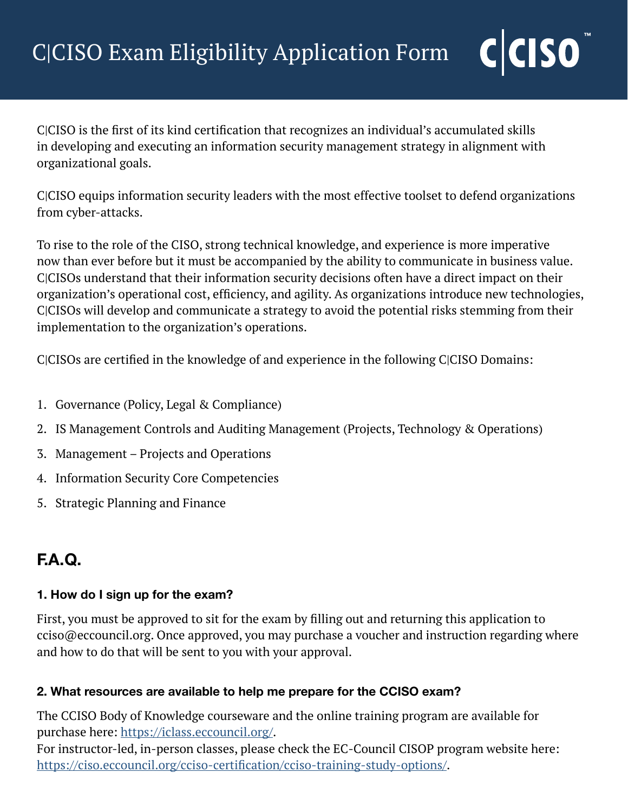C|CISO is the first of its kind certification that recognizes an individual's accumulated skills in developing and executing an information security management strategy in alignment with organizational goals.

C|CISO equips information security leaders with the most effective toolset to defend organizations from cyber-attacks.

To rise to the role of the CISO, strong technical knowledge, and experience is more imperative now than ever before but it must be accompanied by the ability to communicate in business value. C|CISOs understand that their information security decisions often have a direct impact on their organization's operational cost, efficiency, and agility. As organizations introduce new technologies, C|CISOs will develop and communicate a strategy to avoid the potential risks stemming from their implementation to the organization's operations.

C|CISOs are certified in the knowledge of and experience in the following C|CISO Domains:

- 1. Governance (Policy, Legal & Compliance)
- 2. IS Management Controls and Auditing Management (Projects, Technology & Operations)
- 3. Management Projects and Operations
- 4. Information Security Core Competencies
- 5. Strategic Planning and Finance

# **F.A.Q.**

# **1. How do I sign up for the exam?**

First, you must be approved to sit for the exam by filling out and returning this application to cciso@eccouncil.org. Once approved, you may purchase a voucher and instruction regarding where and how to do that will be sent to you with your approval.

#### **2. What resources are available to help me prepare for the CCISO exam?**

The CCISO Body of Knowledge courseware and the online training program are available for purchase here: <https://iclass.eccouncil.org/>.

For instructor-led, in-person classes, please check the EC-Council CISOP program website here: [https://ciso.eccouncil.org/cciso-certification/cciso-training-study-options/.](https://ciso.eccouncil.org/cciso-certification/cciso-training-study-options/)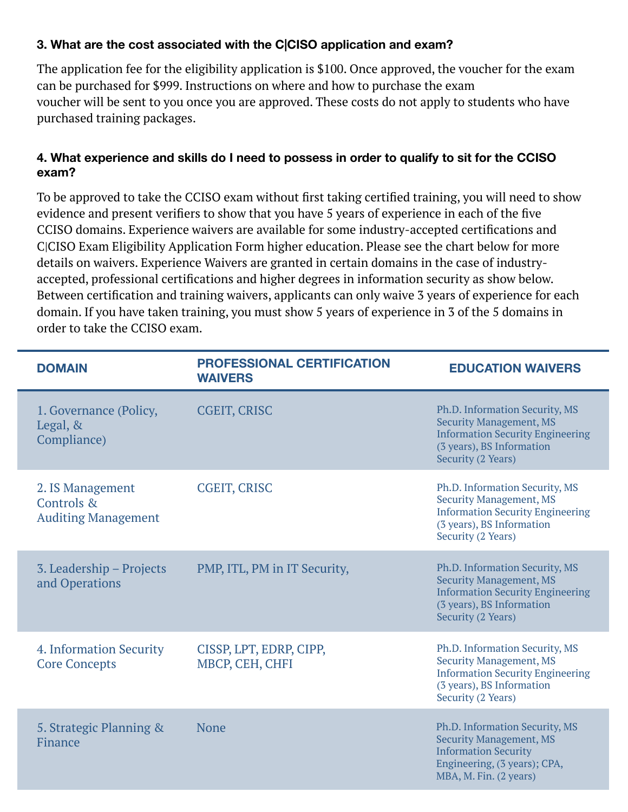### **3. What are the cost associated with the C|CISO application and exam?**

The application fee for the eligibility application is \$100. Once approved, the voucher for the exam can be purchased for \$999. Instructions on where and how to purchase the exam voucher will be sent to you once you are approved. These costs do not apply to students who have purchased training packages.

#### **4. What experience and skills do I need to possess in order to qualify to sit for the CCISO exam?**

To be approved to take the CCISO exam without first taking certified training, you will need to show evidence and present verifiers to show that you have 5 years of experience in each of the five CCISO domains. Experience waivers are available for some industry-accepted certifications and C|CISO Exam Eligibility Application Form higher education. Please see the chart below for more details on waivers. Experience Waivers are granted in certain domains in the case of industryaccepted, professional certifications and higher degrees in information security as show below. Between certification and training waivers, applicants can only waive 3 years of experience for each domain. If you have taken training, you must show 5 years of experience in 3 of the 5 domains in order to take the CCISO exam.

| <b>DOMAIN</b>                                                | <b>PROFESSIONAL CERTIFICATION</b><br><b>WAIVERS</b> | <b>EDUCATION WAIVERS</b>                                                                                                                                       |
|--------------------------------------------------------------|-----------------------------------------------------|----------------------------------------------------------------------------------------------------------------------------------------------------------------|
| 1. Governance (Policy,<br>Legal, &<br>Compliance)            | <b>CGEIT, CRISC</b>                                 | Ph.D. Information Security, MS<br><b>Security Management, MS</b><br><b>Information Security Engineering</b><br>(3 years), BS Information<br>Security (2 Years) |
| 2. IS Management<br>Controls &<br><b>Auditing Management</b> | <b>CGEIT, CRISC</b>                                 | Ph.D. Information Security, MS<br><b>Security Management, MS</b><br><b>Information Security Engineering</b><br>(3 years), BS Information<br>Security (2 Years) |
| 3. Leadership – Projects<br>and Operations                   | PMP, ITL, PM in IT Security,                        | Ph.D. Information Security, MS<br><b>Security Management, MS</b><br><b>Information Security Engineering</b><br>(3 years), BS Information<br>Security (2 Years) |
| 4. Information Security<br><b>Core Concepts</b>              | CISSP, LPT, EDRP, CIPP,<br>MBCP, CEH, CHFI          | Ph.D. Information Security, MS<br><b>Security Management, MS</b><br><b>Information Security Engineering</b><br>(3 years), BS Information<br>Security (2 Years) |
| 5. Strategic Planning &<br>Finance                           | None                                                | Ph.D. Information Security, MS<br><b>Security Management, MS</b><br><b>Information Security</b><br>Engineering, (3 years); CPA,<br>MBA, M. Fin. (2 years)      |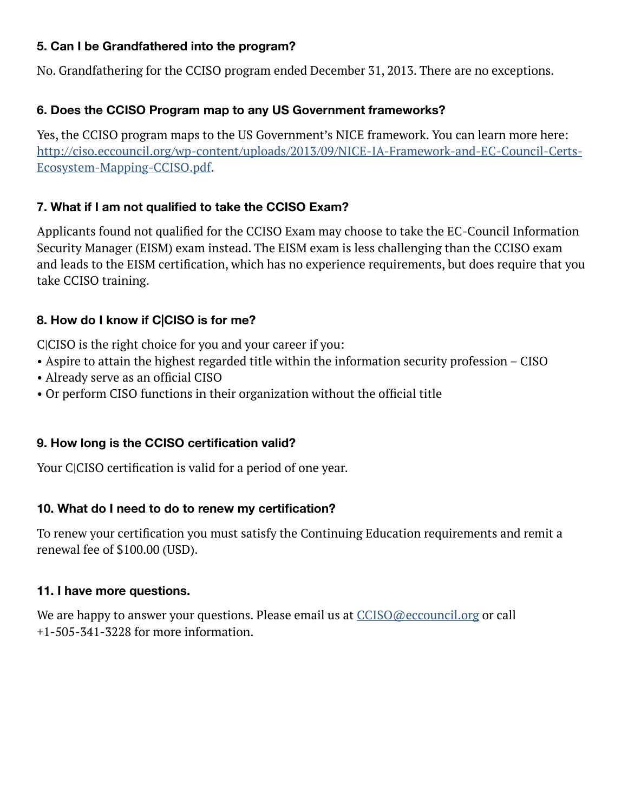#### **5. Can I be Grandfathered into the program?**

No. Grandfathering for the CCISO program ended December 31, 2013. There are no exceptions.

#### **6. Does the CCISO Program map to any US Government frameworks?**

Yes, the CCISO program maps to the US Government's NICE framework. You can learn more here: [http://ciso.eccouncil.org/wp-content/uploads/2013/09/NICE-IA-Framework-and-EC-Council-Certs-](https://ciso.eccouncil.org/wp-content/uploads/2013/09/NICE-IA-Framework-and-EC-Council-Certs-Ecosystem-Mapping-CCISO.pdf)[Ecosystem-Mapping-CCISO.pdf.](https://ciso.eccouncil.org/wp-content/uploads/2013/09/NICE-IA-Framework-and-EC-Council-Certs-Ecosystem-Mapping-CCISO.pdf)

#### **7. What if I am not qualified to take the CCISO Exam?**

Applicants found not qualified for the CCISO Exam may choose to take the EC-Council Information Security Manager (EISM) exam instead. The EISM exam is less challenging than the CCISO exam and leads to the EISM certification, which has no experience requirements, but does require that you take CCISO training.

#### **8. How do I know if C|CISO is for me?**

C|CISO is the right choice for you and your career if you:

- Aspire to attain the highest regarded title within the information security profession CISO
- Already serve as an official CISO
- Or perform CISO functions in their organization without the official title

#### **9. How long is the CCISO certification valid?**

Your C|CISO certification is valid for a period of one year.

#### **10. What do I need to do to renew my certification?**

To renew your certification you must satisfy the Continuing Education requirements and remit a renewal fee of \$100.00 (USD).

#### **11. I have more questions.**

We are happy to answer your questions. Please email us at  $CCISO@eccounti.org$  or call +1-505-341-3228 for more information.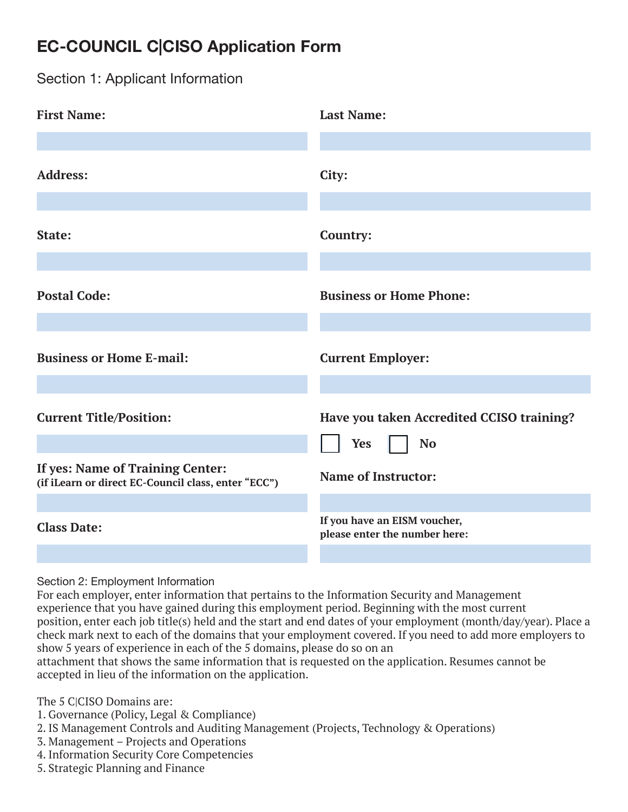# **EC-COUNCIL C|CISO Application Form**

Section 1: Applicant Information

| <b>First Name:</b>                                                                      | <b>Last Name:</b>                                             |
|-----------------------------------------------------------------------------------------|---------------------------------------------------------------|
|                                                                                         |                                                               |
| <b>Address:</b>                                                                         | City:                                                         |
|                                                                                         |                                                               |
| State:                                                                                  | Country:                                                      |
|                                                                                         |                                                               |
| <b>Postal Code:</b>                                                                     | <b>Business or Home Phone:</b>                                |
|                                                                                         |                                                               |
| <b>Business or Home E-mail:</b>                                                         | <b>Current Employer:</b>                                      |
|                                                                                         |                                                               |
| <b>Current Title/Position:</b>                                                          | Have you taken Accredited CCISO training?                     |
|                                                                                         | <b>Yes</b><br><b>No</b>                                       |
| If yes: Name of Training Center:<br>(if iLearn or direct EC-Council class, enter "ECC") | <b>Name of Instructor:</b>                                    |
|                                                                                         |                                                               |
| <b>Class Date:</b>                                                                      | If you have an EISM voucher,<br>please enter the number here: |
|                                                                                         |                                                               |

Section 2: Employment Information

For each employer, enter information that pertains to the Information Security and Management experience that you have gained during this employment period. Beginning with the most current position, enter each job title(s) held and the start and end dates of your employment (month/day/year). Place a check mark next to each of the domains that your employment covered. If you need to add more employers to show 5 years of experience in each of the 5 domains, please do so on an

attachment that shows the same information that is requested on the application. Resumes cannot be accepted in lieu of the information on the application.

The 5 CICISO Domains are:

- 1. Governance (Policy, Legal & Compliance)
- 2. IS Management Controls and Auditing Management (Projects, Technology & Operations)
- 3. Management Projects and Operations
- 4. Information Security Core Competencies
- 5. Strategic Planning and Finance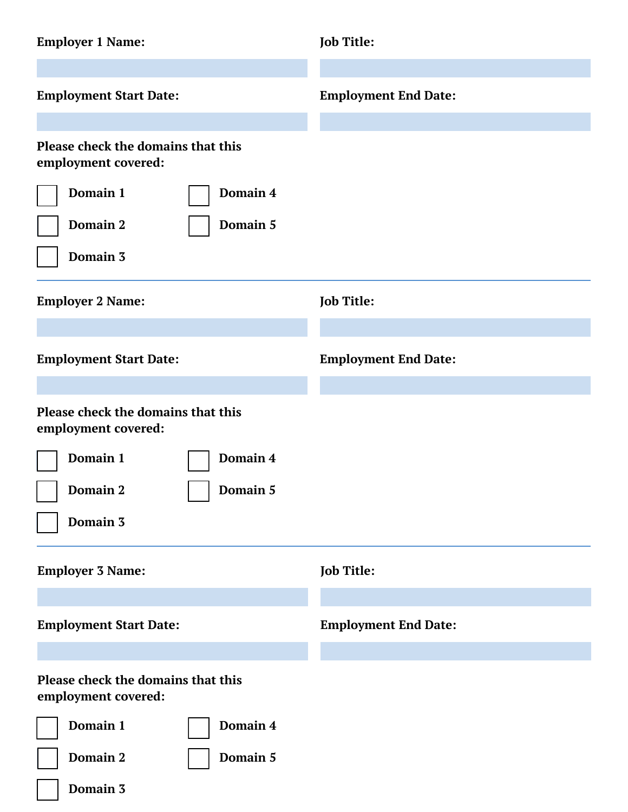| <b>Employer 1 Name:</b>                                                                                   | Job Title:                  |
|-----------------------------------------------------------------------------------------------------------|-----------------------------|
| <b>Employment Start Date:</b>                                                                             | <b>Employment End Date:</b> |
| Please check the domains that this<br>employment covered:<br>Domain 1<br>Domain 4<br>Domain 2<br>Domain 5 |                             |
| Domain 3<br><b>Employer 2 Name:</b>                                                                       | Job Title:                  |
| <b>Employment Start Date:</b>                                                                             | <b>Employment End Date:</b> |
| Please check the domains that this<br>employment covered:                                                 |                             |
| Domain 1<br>Domain 4<br>Domain 2<br>Domain 5<br>Domain 3                                                  |                             |
| <b>Employer 3 Name:</b>                                                                                   | Job Title:                  |
| <b>Employment Start Date:</b>                                                                             | <b>Employment End Date:</b> |
| Please check the domains that this<br>employment covered:                                                 |                             |
| Domain 1<br>Domain 4<br>Domain 2<br>Domain 5<br>Domain 3                                                  |                             |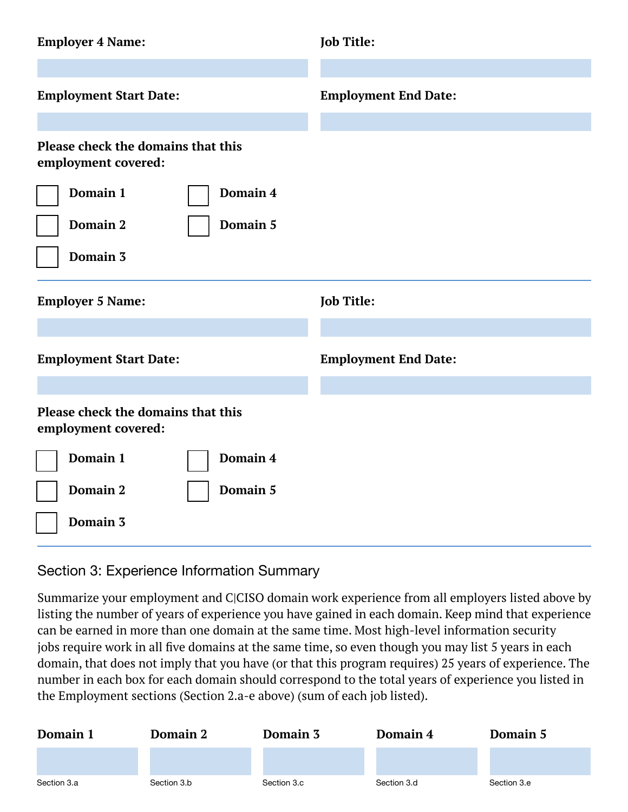| <b>Employer 4 Name:</b>                                   | <b>Job Title:</b>           |
|-----------------------------------------------------------|-----------------------------|
| <b>Employment Start Date:</b>                             | <b>Employment End Date:</b> |
| Please check the domains that this<br>employment covered: |                             |
| Domain 1<br>Domain 4<br>Domain 2<br>Domain 5<br>Domain 3  |                             |
|                                                           |                             |
| <b>Employer 5 Name:</b>                                   | <b>Job Title:</b>           |
| <b>Employment Start Date:</b>                             | <b>Employment End Date:</b> |
| Please check the domains that this<br>employment covered: |                             |
| Domain 1<br>Domain 4                                      |                             |
| Domain 2<br>Domain 5                                      |                             |

#### Section 3: Experience Information Summary

Summarize your employment and C|CISO domain work experience from all employers listed above by listing the number of years of experience you have gained in each domain. Keep mind that experience can be earned in more than one domain at the same time. Most high-level information security jobs require work in all five domains at the same time, so even though you may list 5 years in each domain, that does not imply that you have (or that this program requires) 25 years of experience. The number in each box for each domain should correspond to the total years of experience you listed in the Employment sections (Section 2.a-e above) (sum of each job listed).

| Domain 1    | <b>Domain 2</b> | Domain 3    | Domain 4    | Domain 5    |
|-------------|-----------------|-------------|-------------|-------------|
|             |                 |             |             |             |
| Section 3.a | Section 3.b     | Section 3.c | Section 3.d | Section 3.e |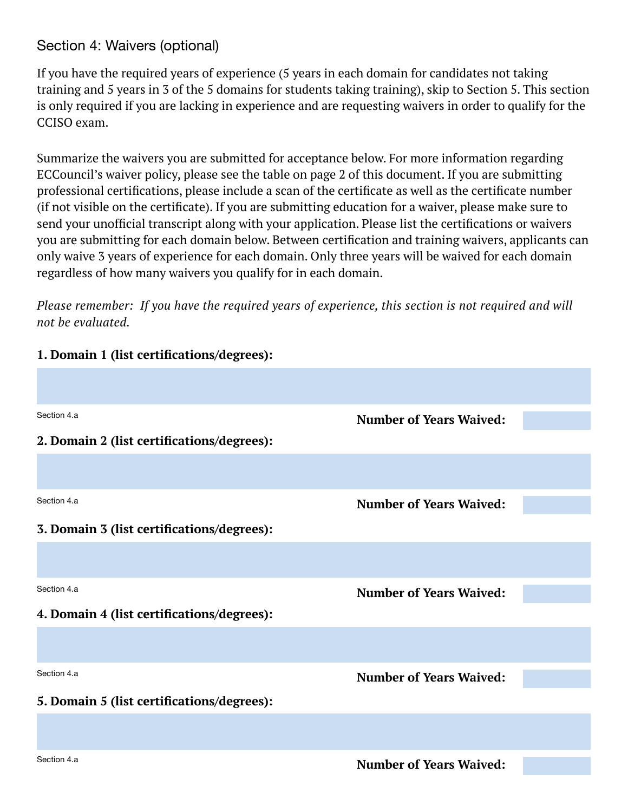# Section 4: Waivers (optional)

If you have the required years of experience (5 years in each domain for candidates not taking training and 5 years in 3 of the 5 domains for students taking training), skip to Section 5. This section is only required if you are lacking in experience and are requesting waivers in order to qualify for the CCISO exam.

Summarize the waivers you are submitted for acceptance below. For more information regarding ECCouncil's waiver policy, please see the table on page 2 of this document. If you are submitting professional certifications, please include a scan of the certificate as well as the certificate number (if not visible on the certificate). If you are submitting education for a waiver, please make sure to send your unofficial transcript along with your application. Please list the certifications or waivers you are submitting for each domain below. Between certification and training waivers, applicants can only waive 3 years of experience for each domain. Only three years will be waived for each domain regardless of how many waivers you qualify for in each domain.

*Please remember: If you have the required years of experience, this section is not required and will not be evaluated.*

#### **1. Domain 1 (list certifications/degrees):**

| Section 4.a                                | <b>Number of Years Waived:</b> |  |
|--------------------------------------------|--------------------------------|--|
| 2. Domain 2 (list certifications/degrees): |                                |  |
|                                            |                                |  |
| Section 4.a                                | <b>Number of Years Waived:</b> |  |
| 3. Domain 3 (list certifications/degrees): |                                |  |
|                                            |                                |  |
| Section 4.a                                | <b>Number of Years Waived:</b> |  |
| 4. Domain 4 (list certifications/degrees): |                                |  |
|                                            |                                |  |
| Section 4.a                                | <b>Number of Years Waived:</b> |  |
| 5. Domain 5 (list certifications/degrees): |                                |  |
|                                            |                                |  |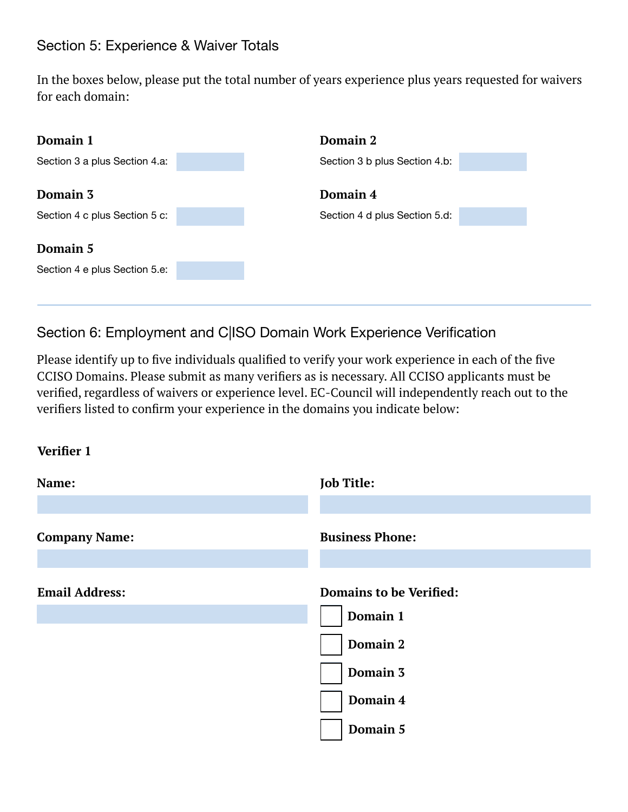# Section 5: Experience & Waiver Totals

In the boxes below, please put the total number of years experience plus years requested for waivers for each domain:

| Domain 1                                  | Domain 2                      |  |
|-------------------------------------------|-------------------------------|--|
| Section 3 a plus Section 4.a:             | Section 3 b plus Section 4.b: |  |
| Domain 3                                  | Domain 4                      |  |
| Section 4 c plus Section 5 c:             | Section 4 d plus Section 5.d: |  |
| Domain 5<br>Section 4 e plus Section 5.e: |                               |  |

Section 6: Employment and C|ISO Domain Work Experience Verification

Please identify up to five individuals qualified to verify your work experience in each of the five CCISO Domains. Please submit as many verifiers as is necessary. All CCISO applicants must be verified, regardless of waivers or experience level. EC-Council will independently reach out to the verifiers listed to confirm your experience in the domains you indicate below:

#### **Verifier 1**

| Name:                 | <b>Job Title:</b>              |
|-----------------------|--------------------------------|
|                       |                                |
| <b>Company Name:</b>  | <b>Business Phone:</b>         |
|                       |                                |
| <b>Email Address:</b> | <b>Domains to be Verified:</b> |
|                       | Domain 1                       |
|                       | <b>Domain 2</b>                |
|                       | Domain 3                       |
|                       | Domain 4                       |
|                       | Domain 5                       |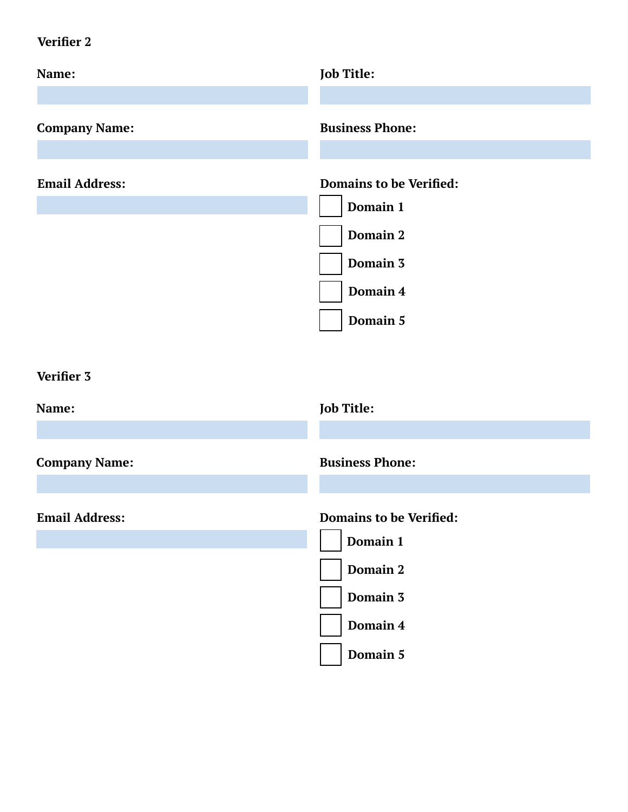# **Verifier 2**

| Name:                 | <b>Job Title:</b>                                                                                 |
|-----------------------|---------------------------------------------------------------------------------------------------|
| <b>Company Name:</b>  | <b>Business Phone:</b>                                                                            |
| <b>Email Address:</b> | <b>Domains to be Verified:</b><br>Domain 1<br>Domain 2<br>Domain 3<br>Domain 4<br>Domain 5        |
| Verifier 3            |                                                                                                   |
| Name:                 | <b>Job Title:</b>                                                                                 |
| <b>Company Name:</b>  | <b>Business Phone:</b>                                                                            |
| <b>Email Address:</b> | <b>Domains to be Verified:</b><br>Domain 1<br><b>Domain 2</b><br>Domain 3<br>Domain 4<br>Domain 5 |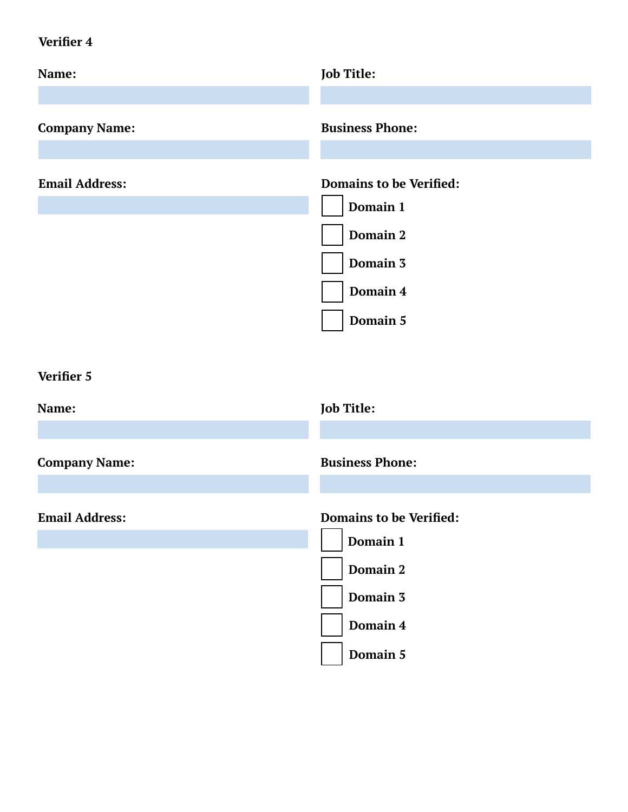# **Verifier 4**

| <b>Job Title:</b>                                                                                 |
|---------------------------------------------------------------------------------------------------|
| <b>Business Phone:</b>                                                                            |
| <b>Domains to be Verified:</b><br>Domain 1<br>Domain 2<br>Domain 3<br>Domain 4<br>Domain 5        |
|                                                                                                   |
| <b>Job Title:</b>                                                                                 |
| <b>Business Phone:</b>                                                                            |
| <b>Domains to be Verified:</b><br>Domain 1<br><b>Domain 2</b><br>Domain 3<br>Domain 4<br>Domain 5 |
|                                                                                                   |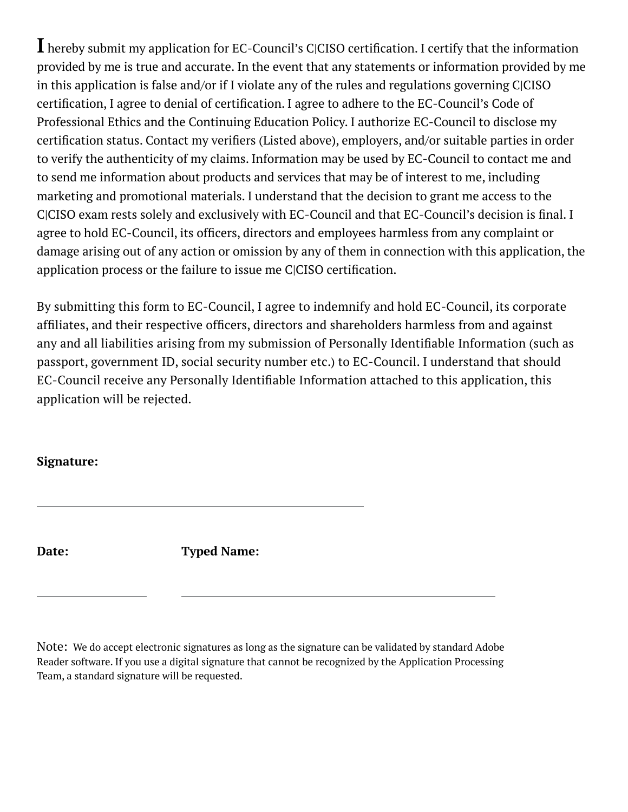**I** hereby submit my application for EC-Council's C|CISO certification. I certify that the information provided by me is true and accurate. In the event that any statements or information provided by me in this application is false and/or if I violate any of the rules and regulations governing C|CISO certification, I agree to denial of certification. I agree to adhere to the EC-Council's Code of Professional Ethics and the Continuing Education Policy. I authorize EC-Council to disclose my certification status. Contact my verifiers (Listed above), employers, and/or suitable parties in order to verify the authenticity of my claims. Information may be used by EC-Council to contact me and to send me information about products and services that may be of interest to me, including marketing and promotional materials. I understand that the decision to grant me access to the C|CISO exam rests solely and exclusively with EC-Council and that EC-Council's decision is final. I agree to hold EC-Council, its officers, directors and employees harmless from any complaint or damage arising out of any action or omission by any of them in connection with this application, the application process or the failure to issue me C|CISO certification.

By submitting this form to EC-Council, I agree to indemnify and hold EC-Council, its corporate affiliates, and their respective officers, directors and shareholders harmless from and against any and all liabilities arising from my submission of Personally Identifiable Information (such as passport, government ID, social security number etc.) to EC-Council. I understand that should EC-Council receive any Personally Identifiable Information attached to this application, this application will be rejected.

#### **Signature:**

**Date: Typed Name:**

Note: We do accept electronic signatures as long as the signature can be validated by standard Adobe Reader software. If you use a digital signature that cannot be recognized by the Application Processing Team, a standard signature will be requested.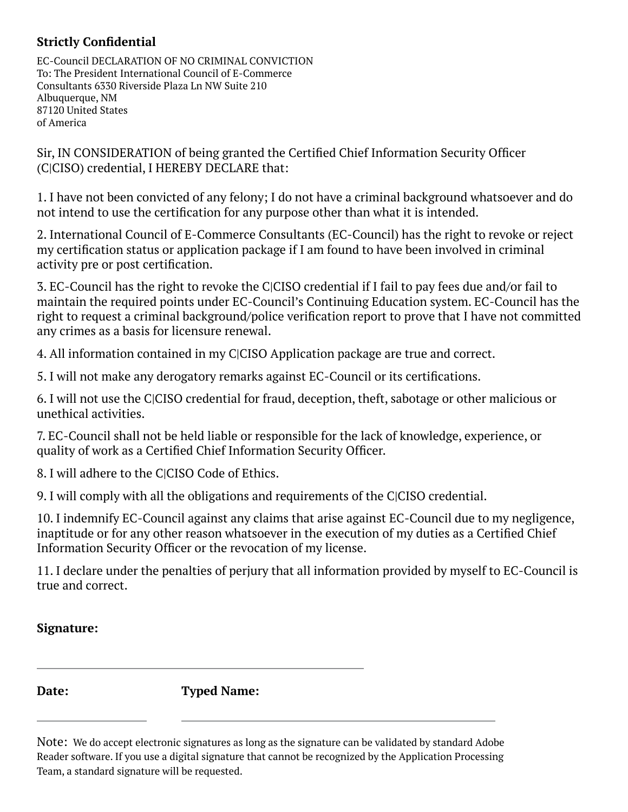## **Strictly Confidential**

EC-Council DECLARATION OF NO CRIMINAL CONVICTION To: The President International Council of E-Commerce Consultants 6330 Riverside Plaza Ln NW Suite 210 Albuquerque, NM 87120 United States of America

Sir, IN CONSIDERATION of being granted the Certified Chief Information Security Officer (C|CISO) credential, I HEREBY DECLARE that:

1. I have not been convicted of any felony; I do not have a criminal background whatsoever and do not intend to use the certification for any purpose other than what it is intended.

2. International Council of E-Commerce Consultants (EC-Council) has the right to revoke or reject my certification status or application package if I am found to have been involved in criminal activity pre or post certification.

3. EC-Council has the right to revoke the C|CISO credential if I fail to pay fees due and/or fail to maintain the required points under EC-Council's Continuing Education system. EC-Council has the right to request a criminal background/police verification report to prove that I have not committed any crimes as a basis for licensure renewal.

4. All information contained in my C|CISO Application package are true and correct.

5. I will not make any derogatory remarks against EC-Council or its certifications.

6. I will not use the C|CISO credential for fraud, deception, theft, sabotage or other malicious or unethical activities.

7. EC-Council shall not be held liable or responsible for the lack of knowledge, experience, or quality of work as a Certified Chief Information Security Officer.

8. I will adhere to the C|CISO Code of Ethics.

9. I will comply with all the obligations and requirements of the C|CISO credential.

10. I indemnify EC-Council against any claims that arise against EC-Council due to my negligence, inaptitude or for any other reason whatsoever in the execution of my duties as a Certified Chief Information Security Officer or the revocation of my license.

11. I declare under the penalties of perjury that all information provided by myself to EC-Council is true and correct.

#### **Signature:**

**Date: Typed Name:**

Note: We do accept electronic signatures as long as the signature can be validated by standard Adobe Reader software. If you use a digital signature that cannot be recognized by the Application Processing Team, a standard signature will be requested.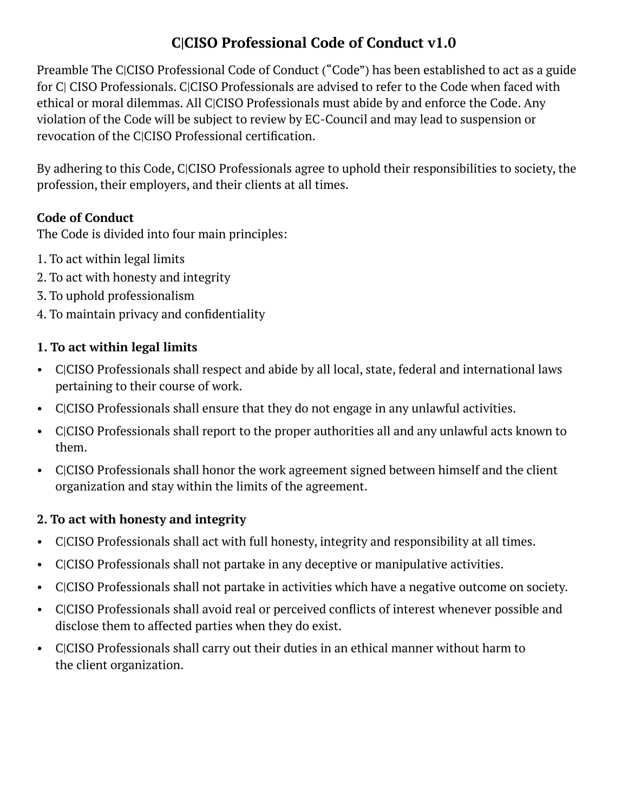# **C|CISO Professional Code of Conduct v1.0**

Preamble The C|CISO Professional Code of Conduct ("Code") has been established to act as a guide for C| CISO Professionals. C|CISO Professionals are advised to refer to the Code when faced with ethical or moral dilemmas. All C|CISO Professionals must abide by and enforce the Code. Any violation of the Code will be subject to review by EC-Council and may lead to suspension or revocation of the C|CISO Professional certification.

By adhering to this Code, C|CISO Professionals agree to uphold their responsibilities to society, the profession, their employers, and their clients at all times.

# **Code of Conduct**

The Code is divided into four main principles:

- 1. To act within legal limits
- 2. To act with honesty and integrity
- 3. To uphold professionalism
- 4. To maintain privacy and confidentiality

## **1. To act within legal limits**

- C|CISO Professionals shall respect and abide by all local, state, federal and international laws pertaining to their course of work.
- C|CISO Professionals shall ensure that they do not engage in any unlawful activities.
- C|CISO Professionals shall report to the proper authorities all and any unlawful acts known to them.
- C|CISO Professionals shall honor the work agreement signed between himself and the client organization and stay within the limits of the agreement.

#### **2. To act with honesty and integrity**

- C|CISO Professionals shall act with full honesty, integrity and responsibility at all times.
- C|CISO Professionals shall not partake in any deceptive or manipulative activities.
- C|CISO Professionals shall not partake in activities which have a negative outcome on society.
- C|CISO Professionals shall avoid real or perceived conflicts of interest whenever possible and disclose them to affected parties when they do exist.
- C|CISO Professionals shall carry out their duties in an ethical manner without harm to the client organization.